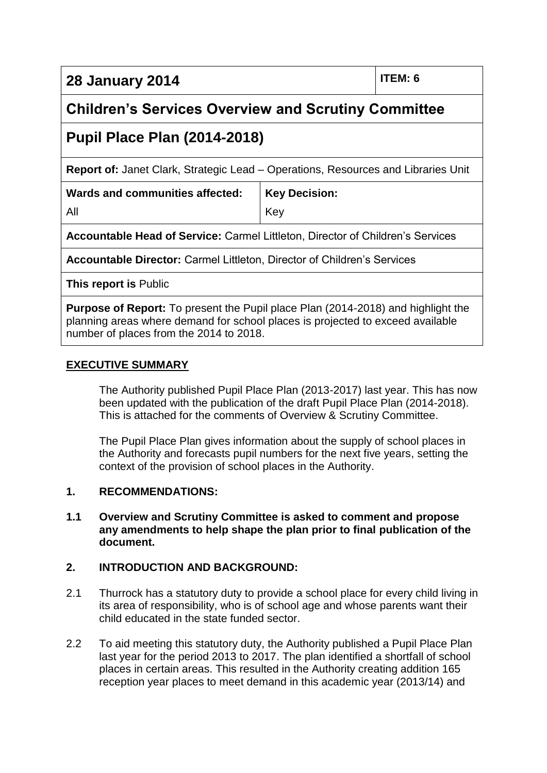**28 January 2014 ITEM: 6**

# **Children's Services Overview and Scrutiny Committee**

# **Pupil Place Plan (2014-2018)**

**Report of:** Janet Clark, Strategic Lead – Operations, Resources and Libraries Unit

Key

**Key Decision:**

**Wards and communities affected:** All

**Accountable Head of Service:** Carmel Littleton, Director of Children's Services

**Accountable Director:** Carmel Littleton, Director of Children's Services

**This report is** Public

**Purpose of Report:** To present the Pupil place Plan (2014-2018) and highlight the planning areas where demand for school places is projected to exceed available number of places from the 2014 to 2018.

#### **EXECUTIVE SUMMARY**

The Authority published Pupil Place Plan (2013-2017) last year. This has now been updated with the publication of the draft Pupil Place Plan (2014-2018). This is attached for the comments of Overview & Scrutiny Committee.

The Pupil Place Plan gives information about the supply of school places in the Authority and forecasts pupil numbers for the next five years, setting the context of the provision of school places in the Authority.

#### **1. RECOMMENDATIONS:**

**1.1 Overview and Scrutiny Committee is asked to comment and propose any amendments to help shape the plan prior to final publication of the document.**

# **2. INTRODUCTION AND BACKGROUND:**

- 2.1 Thurrock has a statutory duty to provide a school place for every child living in its area of responsibility, who is of school age and whose parents want their child educated in the state funded sector.
- 2.2 To aid meeting this statutory duty, the Authority published a Pupil Place Plan last year for the period 2013 to 2017. The plan identified a shortfall of school places in certain areas. This resulted in the Authority creating addition 165 reception year places to meet demand in this academic year (2013/14) and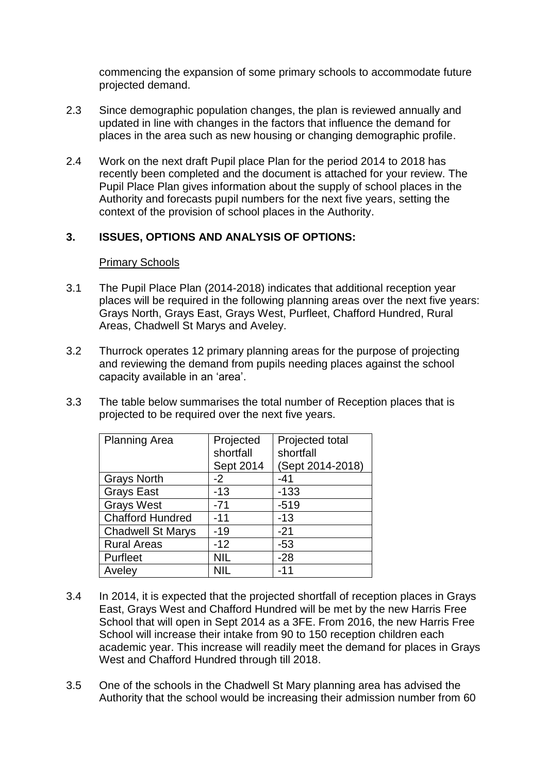commencing the expansion of some primary schools to accommodate future projected demand.

- 2.3 Since demographic population changes, the plan is reviewed annually and updated in line with changes in the factors that influence the demand for places in the area such as new housing or changing demographic profile.
- 2.4 Work on the next draft Pupil place Plan for the period 2014 to 2018 has recently been completed and the document is attached for your review. The Pupil Place Plan gives information about the supply of school places in the Authority and forecasts pupil numbers for the next five years, setting the context of the provision of school places in the Authority.

#### **3. ISSUES, OPTIONS AND ANALYSIS OF OPTIONS:**

#### Primary Schools

- 3.1 The Pupil Place Plan (2014-2018) indicates that additional reception year places will be required in the following planning areas over the next five years: Grays North, Grays East, Grays West, Purfleet, Chafford Hundred, Rural Areas, Chadwell St Marys and Aveley.
- 3.2 Thurrock operates 12 primary planning areas for the purpose of projecting and reviewing the demand from pupils needing places against the school capacity available in an 'area'.
- 3.3 The table below summarises the total number of Reception places that is projected to be required over the next five years.

| <b>Planning Area</b>     | Projected<br>shortfall | Projected total<br>shortfall |
|--------------------------|------------------------|------------------------------|
|                          | Sept 2014              | (Sept 2014-2018)             |
| <b>Grays North</b>       | -2                     | $-41$                        |
| <b>Grays East</b>        | $-13$                  | $-133$                       |
| <b>Grays West</b>        | $-71$                  | $-519$                       |
| <b>Chafford Hundred</b>  | $-11$                  | $-13$                        |
| <b>Chadwell St Marys</b> | $-19$                  | $-21$                        |
| <b>Rural Areas</b>       | $-12$                  | $-53$                        |
| Purfleet                 | NIL                    | $-28$                        |
| Aveley                   |                        | -11                          |

- 3.4 In 2014, it is expected that the projected shortfall of reception places in Grays East, Grays West and Chafford Hundred will be met by the new Harris Free School that will open in Sept 2014 as a 3FE. From 2016, the new Harris Free School will increase their intake from 90 to 150 reception children each academic year. This increase will readily meet the demand for places in Grays West and Chafford Hundred through till 2018.
- 3.5 One of the schools in the Chadwell St Mary planning area has advised the Authority that the school would be increasing their admission number from 60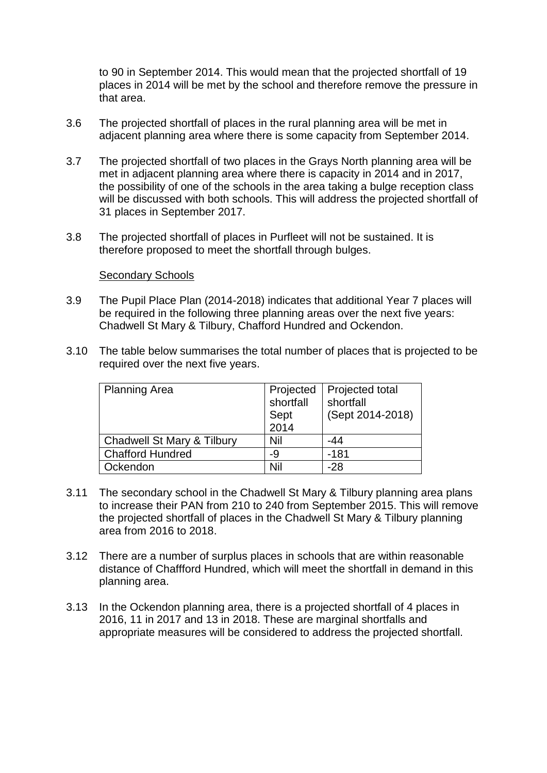to 90 in September 2014. This would mean that the projected shortfall of 19 places in 2014 will be met by the school and therefore remove the pressure in that area.

- 3.6 The projected shortfall of places in the rural planning area will be met in adjacent planning area where there is some capacity from September 2014.
- 3.7 The projected shortfall of two places in the Grays North planning area will be met in adjacent planning area where there is capacity in 2014 and in 2017, the possibility of one of the schools in the area taking a bulge reception class will be discussed with both schools. This will address the projected shortfall of 31 places in September 2017.
- 3.8 The projected shortfall of places in Purfleet will not be sustained. It is therefore proposed to meet the shortfall through bulges.

#### Secondary Schools

- 3.9 The Pupil Place Plan (2014-2018) indicates that additional Year 7 places will be required in the following three planning areas over the next five years: Chadwell St Mary & Tilbury, Chafford Hundred and Ockendon.
- 3.10 The table below summarises the total number of places that is projected to be required over the next five years.

| <b>Planning Area</b>       | Projected | Projected total  |
|----------------------------|-----------|------------------|
|                            | shortfall | shortfall        |
|                            | Sept      | (Sept 2014-2018) |
|                            | 2014      |                  |
| Chadwell St Mary & Tilbury | Nil       | -44              |
| <b>Chafford Hundred</b>    | -9        | $-181$           |
| Ockendon                   | Nil       | $-28$            |

- 3.11 The secondary school in the Chadwell St Mary & Tilbury planning area plans to increase their PAN from 210 to 240 from September 2015. This will remove the projected shortfall of places in the Chadwell St Mary & Tilbury planning area from 2016 to 2018.
- 3.12 There are a number of surplus places in schools that are within reasonable distance of Chaffford Hundred, which will meet the shortfall in demand in this planning area.
- 3.13 In the Ockendon planning area, there is a projected shortfall of 4 places in 2016, 11 in 2017 and 13 in 2018. These are marginal shortfalls and appropriate measures will be considered to address the projected shortfall.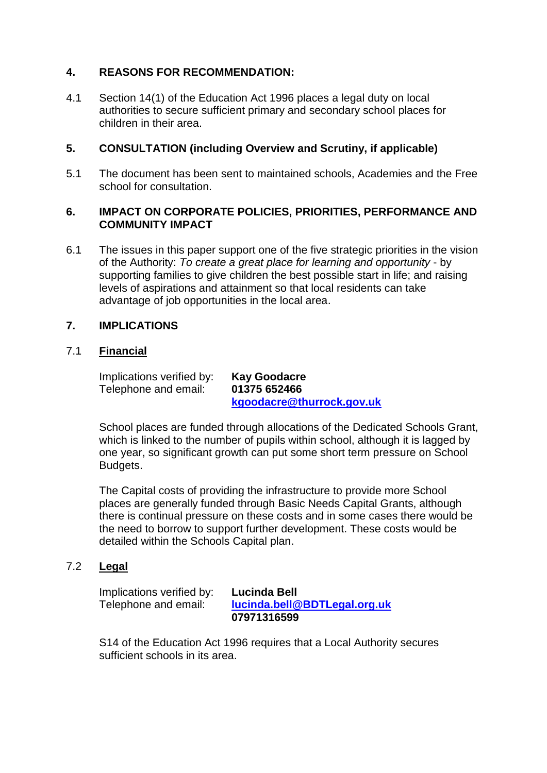# **4. REASONS FOR RECOMMENDATION:**

4.1 Section 14(1) of the Education Act 1996 places a legal duty on local authorities to secure sufficient primary and secondary school places for children in their area.

# **5. CONSULTATION (including Overview and Scrutiny, if applicable)**

5.1 The document has been sent to maintained schools, Academies and the Free school for consultation.

#### **6. IMPACT ON CORPORATE POLICIES, PRIORITIES, PERFORMANCE AND COMMUNITY IMPACT**

6.1 The issues in this paper support one of the five strategic priorities in the vision of the Authority: *To create a great place for learning and opportunity* - by supporting families to give children the best possible start in life; and raising levels of aspirations and attainment so that local residents can take advantage of job opportunities in the local area.

# **7. IMPLICATIONS**

#### 7.1 **Financial**

Implications verified by: **Kay Goodacre** Telephone and email: **01375 652466**

**[kgoodacre@thurrock.gov.uk](mailto:kgoodacre@thurrock.gov.uk)**

School places are funded through allocations of the Dedicated Schools Grant, which is linked to the number of pupils within school, although it is lagged by one year, so significant growth can put some short term pressure on School Budgets.

The Capital costs of providing the infrastructure to provide more School places are generally funded through Basic Needs Capital Grants, although there is continual pressure on these costs and in some cases there would be the need to borrow to support further development. These costs would be detailed within the Schools Capital plan.

# 7.2 **Legal**

Implications verified by: **Lucinda Bell**

Telephone and email: **[lucinda.bell@BDTLegal.org.uk](mailto:lucinda.bell@BDTLegal.org.uk) 07971316599**

S14 of the Education Act 1996 requires that a Local Authority secures sufficient schools in its area.